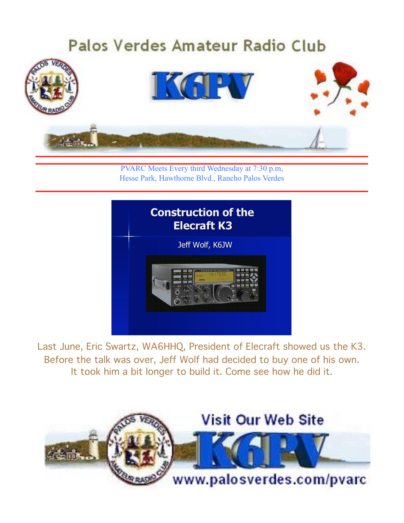# Palos Verdes Amateur Radio Club IKAPV

PVARC Meets Every third Wednesday at 7:30 p.m, Hesse Park, Hawthorne Blvd., Rancho Palos Verdes



Last June, Eric Swartz, WA6HHQ, President of Elecraft showed us the K3. Before the talk was over, Jeff Wolf had decided to buy one of his own. It took him a bit longer to build it. Come see how he did it.

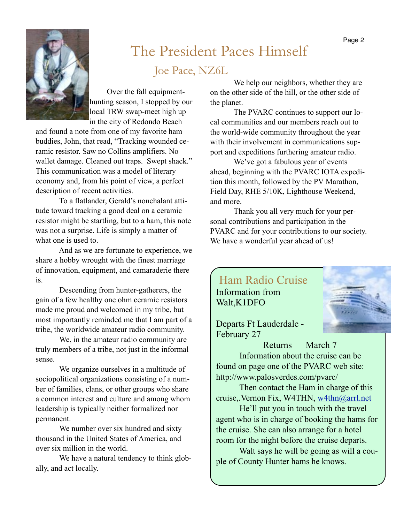

#### February 2010 Page 2010 Page 2010 Page 2010 Page 2010 Page 2010 Page 2010 Page 2010 Page 2010 Page 2010 Page 20 The President Paces Himself Joe Pace, NZ6L

Over the fall equipmenthunting season, I stopped by our local TRW swap-meet high up in the city of Redondo Beach

and found a note from one of my favorite ham buddies, John, that read, "Tracking wounded ceramic resistor. Saw no Collins amplifiers. No wallet damage. Cleaned out traps. Swept shack." This communication was a model of literary economy and, from his point of view, a perfect description of recent activities.

To a flatlander, Gerald's nonchalant attitude toward tracking a good deal on a ceramic resistor might be startling, but to a ham, this note was not a surprise. Life is simply a matter of what one is used to.

And as we are fortunate to experience, we share a hobby wrought with the finest marriage of innovation, equipment, and camaraderie there is.

Descending from hunter-gatherers, the gain of a few healthy one ohm ceramic resistors made me proud and welcomed in my tribe, but most importantly reminded me that I am part of a tribe, the worldwide amateur radio community.

We, in the amateur radio community are truly members of a tribe, not just in the informal sense.

We organize ourselves in a multitude of sociopolitical organizations consisting of a number of families, clans, or other groups who share a common interest and culture and among whom leadership is typically neither formalized nor permanent.

We number over six hundred and sixty thousand in the United States of America, and over six million in the world.

We have a natural tendency to think globally, and act locally.

We help our neighbors, whether they are on the other side of the hill, or the other side of the planet.

The PVARC continues to support our local communities and our members reach out to the world-wide community throughout the year with their involvement in communications support and expeditions furthering amateur radio.

We've got a fabulous year of events ahead, beginning with the PVARC IOTA expedition this month, followed by the PV Marathon, Field Day, RHE 5/10K, Lighthouse Weekend, and more.

Thank you all very much for your personal contributions and participation in the PVARC and for your contributions to our society. We have a wonderful year ahead of us!



Departs Ft Lauderdale - February 27

Returns March 7 Information about the cruise can be found on page one of the PVARC web site: http://www.palosverdes.com/pvarc/

Then contact the Ham in charge of this cruise,.Vernon Fix, W4THN, [w4thn@arrl.net](mailto:w4thn@arrl.net)

He'll put you in touch with the travel agent who is in charge of booking the hams for the cruise. She can also arrange for a hotel room for the night before the cruise departs.

Walt says he will be going as will a couple of County Hunter hams he knows.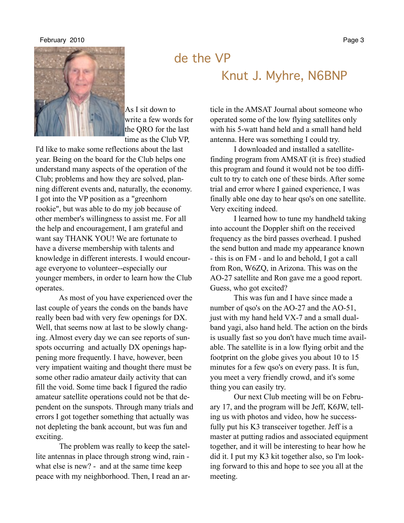#### February 2010 **Page 3**



As I sit down to write a few words for the QRO for the last time as the Club VP,

I'd like to make some reflections about the last year. Being on the board for the Club helps one understand many aspects of the operation of the Club; problems and how they are solved, planning different events and, naturally, the economy. I got into the VP position as a "greenhorn rookie", but was able to do my job because of other member's willingness to assist me. For all the help and encouragement, I am grateful and want say THANK YOU! We are fortunate to have a diverse membership with talents and knowledge in different interests. I would encourage everyone to volunteer--especially our younger members, in order to learn how the Club operates.

As most of you have experienced over the last couple of years the conds on the bands have really been bad with very few openings for DX. Well, that seems now at last to be slowly changing. Almost every day we can see reports of sunspots occurring and actually DX openings happening more frequently. I have, however, been very impatient waiting and thought there must be some other radio amateur daily activity that can fill the void. Some time back I figured the radio amateur satellite operations could not be that dependent on the sunspots. Through many trials and errors I got together something that actually was not depleting the bank account, but was fun and exciting.

The problem was really to keep the satellite antennas in place through strong wind, rain what else is new? - and at the same time keep peace with my neighborhood. Then, I read an ar-

de the VP Knut J. Myhre, N6BNP

> ticle in the AMSAT Journal about someone who operated some of the low flying satellites only with his 5-watt hand held and a small hand held antenna. Here was something I could try.

I downloaded and installed a satellitefinding program from AMSAT (it is free) studied this program and found it would not be too difficult to try to catch one of these birds. After some trial and error where I gained experience, I was finally able one day to hear qso's on one satellite. Very exciting indeed.

I learned how to tune my handheld taking into account the Doppler shift on the received frequency as the bird passes overhead. I pushed the send button and made my appearance known - this is on FM - and lo and behold, I got a call from Ron, W6ZQ, in Arizona. This was on the AO-27 satellite and Ron gave me a good report. Guess, who got excited?

This was fun and I have since made a number of qso's on the AO-27 and the AO-51, just with my hand held VX-7 and a small dualband yagi, also hand held. The action on the birds is usually fast so you don't have much time available. The satellite is in a low flying orbit and the footprint on the globe gives you about 10 to 15 minutes for a few qso's on every pass. It is fun, you meet a very friendly crowd, and it's some thing you can easily try.

Our next Club meeting will be on February 17, and the program will be Jeff, K6JW, telling us with photos and video, how he successfully put his K3 transceiver together. Jeff is a master at putting radios and associated equipment together, and it will be interesting to hear how he did it. I put my K3 kit together also, so I'm looking forward to this and hope to see you all at the meeting.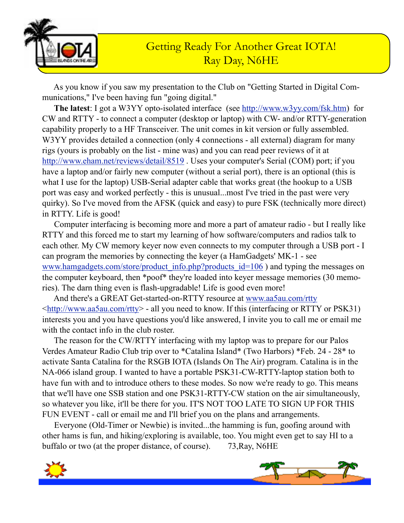

As you know if you saw my presentation to the Club on "Getting Started in Digital Communications," I've been having fun "going digital."

**The latest**: I got a W3YY opto-isolated interface (see <http://www.w3yy.com/fsk.htm>) for CW and RTTY - to connect a computer (desktop or laptop) with CW- and/or RTTY-generation capability properly to a HF Transceiver. The unit comes in kit version or fully assembled. W3YY provides detailed a connection (only 4 connections - all external) diagram for many rigs (yours is probably on the list - mine was) and you can read peer reviews of it at <http://www.eham.net/reviews/detail/8519>. Uses your computer's Serial (COM) port; if you have a laptop and/or fairly new computer (without a serial port), there is an optional (this is what I use for the laptop) USB-Serial adapter cable that works great (the hookup to a USB port was easy and worked perfectly - this is unusual...most I've tried in the past were very quirky). So I've moved from the AFSK (quick and easy) to pure FSK (technically more direct) in RTTY. Life is good!

Computer interfacing is becoming more and more a part of amateur radio - but I really like RTTY and this forced me to start my learning of how software/computers and radios talk to each other. My CW memory keyer now even connects to my computer through a USB port - I can program the memories by connecting the keyer (a HamGadgets' MK-1 - see [www.hamgadgets.com/store/product\\_info.php?products\\_id=106](http://www.hamgadgets.com/store/product_info.php?products_id=106) ) and typing the messages on the computer keyboard, then \*poof\* they're loaded into keyer message memories (30 memories). The darn thing even is flash-upgradable! Life is good even more!

And there's a GREAT Get-started-on-RTTY resource at [www.aa5au.com/rtty](http://www.aa5au.com/rtty) [<http://www.aa5au.com/rtty>](http://www.aa5au.com/rtty) - all you need to know. If this (interfacing or RTTY or PSK31) interests you and you have questions you'd like answered, I invite you to call me or email me with the contact info in the club roster.

The reason for the CW/RTTY interfacing with my laptop was to prepare for our Palos Verdes Amateur Radio Club trip over to \*Catalina Island\* (Two Harbors) \*Feb. 24 - 28\* to activate Santa Catalina for the RSGB IOTA (Islands On The Air) program. Catalina is in the NA-066 island group. I wanted to have a portable PSK31-CW-RTTY-laptop station both to have fun with and to introduce others to these modes. So now we're ready to go. This means that we'll have one SSB station and one PSK31-RTTY-CW station on the air simultaneously, so whatever you like, it'll be there for you. IT'S NOT TOO LATE TO SIGN UP FOR THIS FUN EVENT - call or email me and I'll brief you on the plans and arrangements.

Everyone (Old-Timer or Newbie) is invited...the hamming is fun, goofing around with other hams is fun, and hiking/exploring is available, too. You might even get to say HI to a buffalo or two (at the proper distance, of course). 73,Ray, N6HE

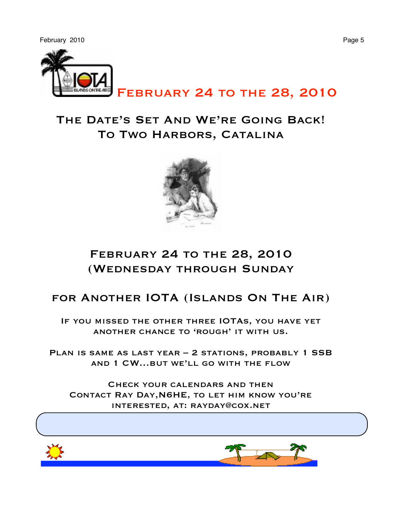

February 24 to the 28, 2010

#### The Date's Set And We're Going Back! To Two Harbors, Catalina



#### February 24 to the 28, 2010 (Wednesday through Sunday

#### for Another IOTA (Islands On The Air)

If you missed the other three IOTAs, you have yet another chance to 'rough' it with us.

PLAN IS SAME AS LAST YEAR - 2 STATIONS, PROBABLY 1 SSB and 1 CW…but we'll go with the flow

Check your calendars and then Contact Ray Day,N6HE, to let him know you're interested, at: rayday@cox.net

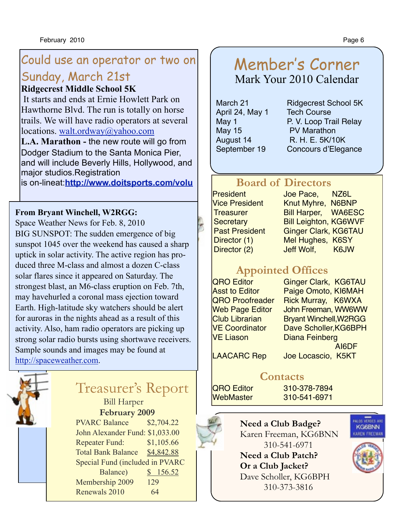## Could use an operator or two on

## Sunday, March 21st

#### **Ridgecrest Middle School 5K**

 It starts and ends at Ernie Howlett Park on Hawthorne Blvd. The run is totally on horse trails. We will have radio operators at several locations. [walt.ordway@yahoo.com](mailto:walt.ordway@yahoo.com)

**L.A. Marathon -** the new route will go from Dodger Stadium to the Santa Monica Pier, and will include Beverly Hills, Hollywood, and major studios.Registration

is on-lineat:**[http://www.doitsports.com/volu](http://www.doitsports.com/volunteer/info.tcl?job_id=488)**

#### **From Bryant Winchell, W2RGG:**

Space Weather News for Feb. 8, 2010 BIG SUNSPOT: The sudden emergence of big sunspot 1045 over the weekend has caused a sharp uptick in solar activity. The active region has produced three M-class and almost a dozen C-class solar flares since it appeared on Saturday. The strongest blast, an M6-class eruption on Feb. 7th, may havehurled a coronal mass ejection toward Earth. High-latitude sky watchers should be alert for auroras in the nights ahead as a result of this activity. Also, ham radio operators are picking up strong solar radio bursts using shortwave receivers. Sample sounds and images may be found at [http://spaceweather.com.](http://spaceweather.com)



#### Treasurer's Report

Bill Harper

**February 2009**

PVARC Balance \$2,704.22 John Alexander Fund: \$1,033.00 Repeater Fund: \$1,105.66 Total Bank Balance \$4,842.88 Special Fund (included in PVARC Balance) \$ 156.52 Membership 2009 129 Renewals 2010 64

#### Member's Corner Mark Your 2010 Calendar

April 24, May 1 Tech Course May 15 **PV Marathon** 

March 21 Ridgecrest School 5K May 1 **P. V. Loop Trail Relay** August 14 R. H. E. 5K/10K September 19 Concours d'Elegance

#### **Board of Directors**

President Joe Pace, NZ6L Vice President Knut Myhre, N6BNP Treasurer Bill Harper, WA6ESC Secretary **Bill Leighton, KG6WVF** Past President Ginger Clark, KG6TAU Director (1) Mel Hughes, K6SY Director (2) Jeff Wolf, K6JW

### **Appointed Offices**

VE Liason Diana Feinberg

QRO Editor Ginger Clark, KG6TAU Asst to Editor Paige Omoto, KI6MAH QRO Proofreader Rick Murray, K6WXA Web Page Editor John Freeman, WW6WW Club Librarian Bryant Winchell, W2RGG<br>VE Coordinator Dave Scholler KG6BPH Dave Scholler, KG6BPH AI6DF

LAACARC Rep Joe Locascio, K5KT

#### **Contacts**

QRO Editor 310-378-7894 WebMaster 310-541-6971





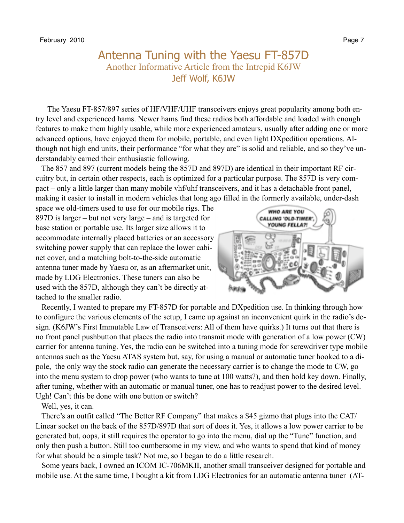#### Antenna Tuning with the Yaesu FT-857D Another Informative Article from the Intrepid K6JW Jeff Wolf, K6JW

 The Yaesu FT-857/897 series of HF/VHF/UHF transceivers enjoys great popularity among both entry level and experienced hams. Newer hams find these radios both affordable and loaded with enough features to make them highly usable, while more experienced amateurs, usually after adding one or more advanced options, have enjoyed them for mobile, portable, and even light DXpedition operations. Although not high end units, their performance "for what they are" is solid and reliable, and so they've understandably earned their enthusiastic following.

 The 857 and 897 (current models being the 857D and 897D) are identical in their important RF circuitry but, in certain other respects, each is optimized for a particular purpose. The 857D is very compact – only a little larger than many mobile vhf/uhf transceivers, and it has a detachable front panel, making it easier to install in modern vehicles that long ago filled in the formerly available, under-dash

space we old-timers used to use for our mobile rigs. The 897D is larger – but not very large – and is targeted for base station or portable use. Its larger size allows it to accommodate internally placed batteries or an accessory switching power supply that can replace the lower cabinet cover, and a matching bolt-to-the-side automatic antenna tuner made by Yaesu or, as an aftermarket unit, made by LDG Electronics. These tuners can also be used with the 857D, although they can't be directly attached to the smaller radio.



 Recently, I wanted to prepare my FT-857D for portable and DXpedition use. In thinking through how to configure the various elements of the setup, I came up against an inconvenient quirk in the radio's design. (K6JW's First Immutable Law of Transceivers: All of them have quirks.) It turns out that there is no front panel pushbutton that places the radio into transmit mode with generation of a low power (CW) carrier for antenna tuning. Yes, the radio can be switched into a tuning mode for screwdriver type mobile antennas such as the Yaesu ATAS system but, say, for using a manual or automatic tuner hooked to a dipole, the only way the stock radio can generate the necessary carrier is to change the mode to CW, go into the menu system to drop power (who wants to tune at 100 watts?), and then hold key down. Finally, after tuning, whether with an automatic or manual tuner, one has to readjust power to the desired level. Ugh! Can't this be done with one button or switch?

Well, yes, it can.

 There's an outfit called "The Better RF Company" that makes a \$45 gizmo that plugs into the CAT/ Linear socket on the back of the 857D/897D that sort of does it. Yes, it allows a low power carrier to be generated but, oops, it still requires the operator to go into the menu, dial up the "Tune" function, and only then push a button. Still too cumbersome in my view, and who wants to spend that kind of money for what should be a simple task? Not me, so I began to do a little research.

 Some years back, I owned an ICOM IC-706MKII, another small transceiver designed for portable and mobile use. At the same time, I bought a kit from LDG Electronics for an automatic antenna tuner (AT-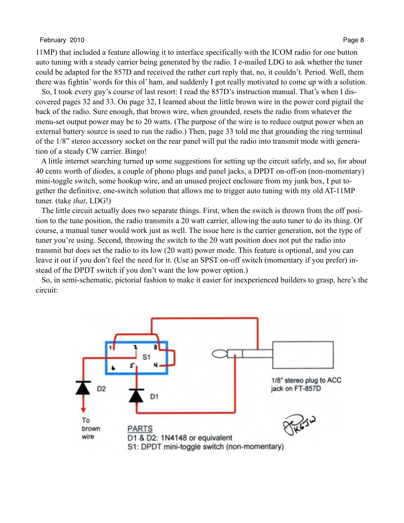#### February 2010 **Page 8** Page 8

11MP) that included a feature allowing it to interface specifically with the ICOM radio for one button auto tuning with a steady carrier being generated by the radio. I e-mailed LDG to ask whether the tuner could be adapted for the 857D and received the rather curt reply that, no, it couldn't. Period. Well, them there was fightin' words for this ol' ham, and suddenly I got really motivated to come up with a solution.

 So, I took every guy's course of last resort: I read the 857D's instruction manual. That's when I discovered pages 32 and 33. On page 32, I learned about the little brown wire in the power cord pigtail the back of the radio. Sure enough, that brown wire, when grounded, resets the radio from whatever the menu-set output power may be to 20 watts. (The purpose of the wire is to reduce output power when an external battery source is used to run the radio.) Then, page 33 told me that grounding the ring terminal of the 1/8" stereo accessory socket on the rear panel will put the radio into transmit mode with generation of a steady CW carrier. Bingo!

 A little internet searching turned up some suggestions for setting up the circuit safely, and so, for about 40 cents worth of diodes, a couple of phono plugs and panel jacks, a DPDT on-off-on (non-momentary) mini-toggle switch, some hookup wire, and an unused project enclosure from my junk box, I put together the definitive, one-switch solution that allows me to trigger auto tuning with my old AT-11MP tuner. (take *that*, LDG!)

 The little circuit actually does two separate things. First, when the switch is thrown from the off position to the tune position, the radio transmits a 20 watt carrier, allowing the auto tuner to do its thing. Of course, a manual tuner would work just as well. The issue here is the carrier generation, not the type of tuner you're using. Second, throwing the switch to the 20 watt position does not put the radio into transmit but does set the radio to its low (20 watt) power mode. This feature is optional, and you can leave it out if you don't feel the need for it. (Use an SPST on-off switch (momentary if you prefer) instead of the DPDT switch if you don't want the low power option.)

 So, in semi-schematic, pictorial fashion to make it easier for inexperienced builders to grasp, here's the circuit:

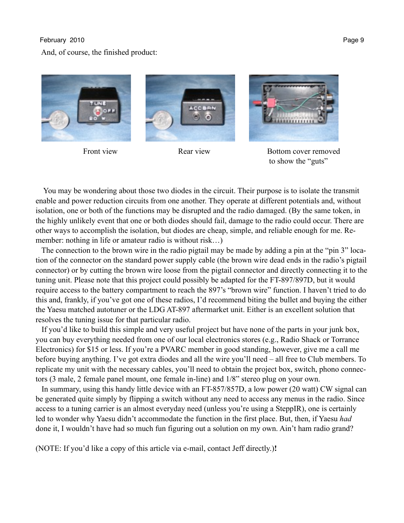#### February 2010 Page 9

#### And, of course, the finished product:





Front view **Rear view** Bottom cover removed to show the "guts"

 You may be wondering about those two diodes in the circuit. Their purpose is to isolate the transmit enable and power reduction circuits from one another. They operate at different potentials and, without isolation, one or both of the functions may be disrupted and the radio damaged. (By the same token, in the highly unlikely event that one or both diodes should fail, damage to the radio could occur. There are other ways to accomplish the isolation, but diodes are cheap, simple, and reliable enough for me. Remember: nothing in life or amateur radio is without risk…)

 The connection to the brown wire in the radio pigtail may be made by adding a pin at the "pin 3" location of the connector on the standard power supply cable (the brown wire dead ends in the radio's pigtail connector) or by cutting the brown wire loose from the pigtail connector and directly connecting it to the tuning unit. Please note that this project could possibly be adapted for the FT-897/897D, but it would require access to the battery compartment to reach the 897's "brown wire" function. I haven't tried to do this and, frankly, if you've got one of these radios, I'd recommend biting the bullet and buying the either the Yaesu matched autotuner or the LDG AT-897 aftermarket unit. Either is an excellent solution that resolves the tuning issue for that particular radio.

 If you'd like to build this simple and very useful project but have none of the parts in your junk box, you can buy everything needed from one of our local electronics stores (e.g., Radio Shack or Torrance Electronics) for \$15 or less. If you're a PVARC member in good standing, however, give me a call me before buying anything. I've got extra diodes and all the wire you'll need – all free to Club members. To replicate my unit with the necessary cables, you'll need to obtain the project box, switch, phono connectors (3 male, 2 female panel mount, one female in-line) and 1/8" stereo plug on your own.

 In summary, using this handy little device with an FT-857/857D, a low power (20 watt) CW signal can be generated quite simply by flipping a switch without any need to access any menus in the radio. Since access to a tuning carrier is an almost everyday need (unless you're using a SteppIR), one is certainly led to wonder why Yaesu didn't accommodate the function in the first place. But, then, if Yaesu *had* done it, I wouldn't have had so much fun figuring out a solution on my own. Ain't ham radio grand?

(NOTE: If you'd like a copy of this article via e-mail, contact Jeff directly.)**!**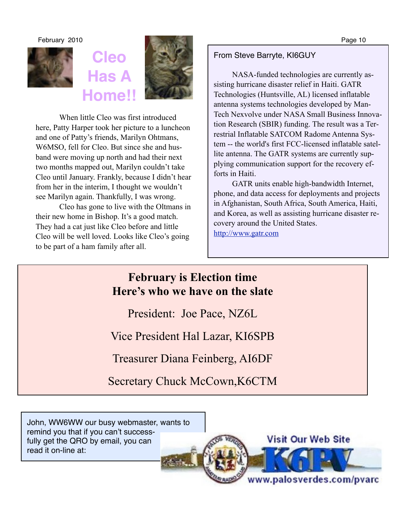

## **Cleo Has A Home!!**



When little Cleo was first introduced here, Patty Harper took her picture to a luncheon and one of Patty's friends, Marilyn Ohtmans, W6MSO, fell for Cleo. But since she and husband were moving up north and had their next two months mapped out, Marilyn couldn't take Cleo until January. Frankly, because I didn't hear from her in the interim, I thought we wouldn't see Marilyn again. Thankfully, I was wrong.

Cleo has gone to live with the Oltmans in their new home in Bishop. It's a good match. They had a cat just like Cleo before and little Cleo will be well loved. Looks like Cleo's going to be part of a ham family after all.

#### From Steve Barryte, KI6GUY

NASA-funded technologies are currently assisting hurricane disaster relief in Haiti. GATR Technologies (Huntsville, AL) licensed inflatable antenna systems technologies developed by Man-Tech Nexvolve under NASA Small Business Innovation Research (SBIR) funding. The result was a Terrestrial Inflatable SATCOM Radome Antenna System -- the world's first FCC-licensed inflatable satellite antenna. The GATR systems are currently supplying communication support for the recovery efforts in Haiti.

GATR units enable high-bandwidth Internet, phone, and data access for deployments and projects in Afghanistan, South Africa, South America, Haiti, and Korea, as well as assisting hurricane disaster recovery around the United States.

<http://www.gatr.com>

#### **February is Election time Here's who we have on the slate**

President: Joe Pace, NZ6L

Vice President Hal Lazar, KI6SPB

Treasurer Diana Feinberg, AI6DF

Secretary Chuck McCown,K6CTM

John, WW6WW our busy webmaster, wants to remind you that if you can't successfully get the QRO by email, you can read it on-line at:

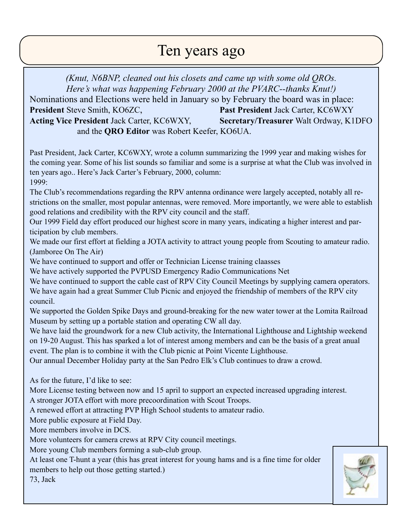## Ten years ago

*(Knut, N6BNP, cleaned out his closets and came up with some old QROs. Here's what was happening February 2000 at the PVARC--thanks Knut!)* Nominations and Elections were held in January so by February the board was in place: **President** Steve Smith, KO6ZC, **Past President** Jack Carter, KC6WXY **Acting Vice President** Jack Carter, KC6WXY, **Secretary/Treasurer** Walt Ordway, K1DFO and the **QRO Editor** was Robert Keefer, KO6UA.

Past President, Jack Carter, KC6WXY, wrote a column summarizing the 1999 year and making wishes for the coming year. Some of his list sounds so familiar and some is a surprise at what the Club was involved in ten years ago.. Here's Jack Carter's February, 2000, column: 1999:

The Club's recommendations regarding the RPV antenna ordinance were largely accepted, notably all restrictions on the smaller, most popular antennas, were removed. More importantly, we were able to establish good relations and credibility with the RPV city council and the staff.

Our 1999 Field day effort produced our highest score in many years, indicating a higher interest and participation by club members.

We made our first effort at fielding a JOTA activity to attract young people from Scouting to amateur radio. (Jamboree On The Air)

We have continued to support and offer or Technician License training claasses

We have actively supported the PVPUSD Emergency Radio Communications Net

We have continued to support the cable cast of RPV City Council Meetings by supplying camera operators. We have again had a great Summer Club Picnic and enjoyed the friendship of members of the RPV city council.

We supported the Golden Spike Days and ground-breaking for the new water tower at the Lomita Railroad Museum by setting up a portable station and operating CW all day.

We have laid the groundwork for a new Club activity, the International Lighthouse and Lightship weekend on 19-20 August. This has sparked a lot of interest among members and can be the basis of a great anual event. The plan is to combine it with the Club picnic at Point Vicente Lighthouse.

Our annual December Holiday party at the San Pedro Elk's Club continues to draw a crowd.

As for the future, I'd like to see:

More License testing between now and 15 april to support an expected increased upgrading interest. A stronger JOTA effort with more precoordination with Scout Troops.

A renewed effort at attracting PVP High School students to amateur radio.

More public exposure at Field Day.

More members involve in DCS.

More volunteers for camera crews at RPV City council meetings.

More young Club members forming a sub-club group.

At least one T-hunt a year (this has great interest for young hams and is a fine time for older members to help out those getting started.)

73, Jack

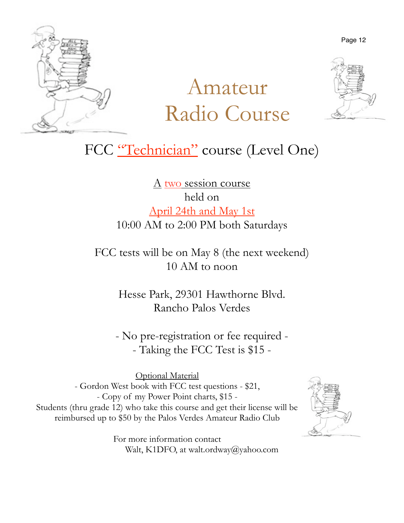

## Amateur Radio Course



FCC "Technician" course (Level One)

A two session course held on April 24th and May 1st 10:00 AM to 2:00 PM both Saturdays

FCC tests will be on May 8 (the next weekend) 10 AM to noon

> Hesse Park, 29301 Hawthorne Blvd. Rancho Palos Verdes

- No pre-registration or fee required - - Taking the FCC Test is \$15 -

Optional Material - Gordon West book with FCC test questions - \$21, - Copy of my Power Point charts, \$15 - Students (thru grade 12) who take this course and get their license will be reimbursed up to \$50 by the Palos Verdes Amateur Radio Club



For more information contact Walt, K1DFO, at walt.ordway@yahoo.com